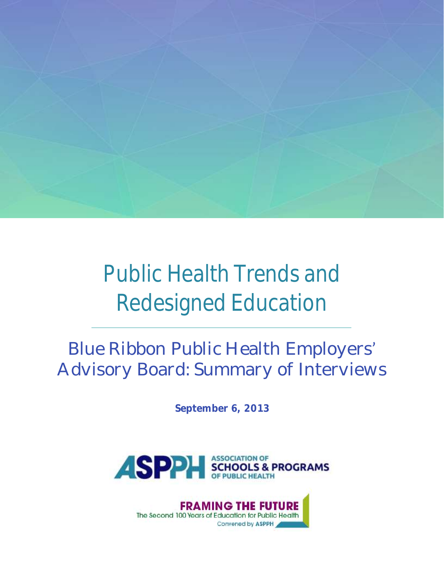

# Public Health Trends and Redesigned Education

# Blue Ribbon Public Health Employers Advisory Board: Summary of Interviews

**September 6, 2013**



**FRAMING THE FU** RE The Second 100 Years of Education for Public Health Convened by ASPPH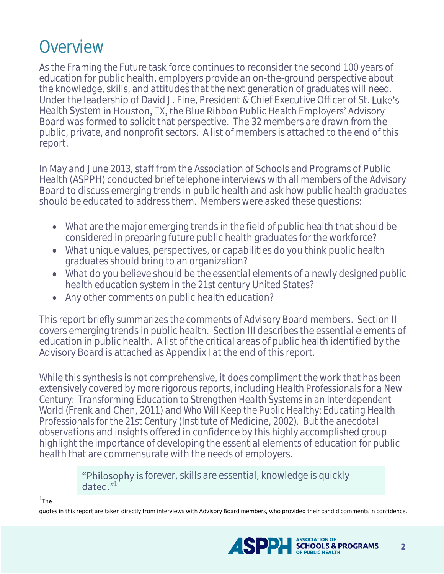## Overview

As the *Framing the Future* task force continues to reconsider the second 100 years of education for public health, employers provide an on-the-ground perspective about the knowledge, skills, and attitudes that the next generation of graduates will need. Under the leadership of David J. Fine, President & Chief Executive Officer of St. Luke's Health System in Houston, TX, the Blue Ribbon Public Health Employers' Advisory Board was formed to solicit that perspective. The 32 members are drawn from the public, private, and nonprofit sectors. A list of members is attached to the end of this report.

In May and June 2013, staff from the Association of Schools and Programs of Public Health (ASPPH) conducted brief telephone interviews with all members of the Advisory Board to discuss emerging trends in public health and ask how public health graduates should be educated to address them. Members were asked these questions:

- What are the major emerging trends in the field of public health that should be considered in preparing future public health graduates for the workforce?
- What unique values, perspectives, or capabilities do you think public health graduates should bring to an organization?
- What do you believe should be the essential elements of a newly designed public health education system in the 21st century United States?
- Any other comments on public health education?

This report briefly summarizes the comments of Advisory Board members. Section II covers emerging trends in public health. Section III describes the essential elements of education in public health. A list of the critical areas of public health identified by the Advisory Board is attached as Appendix I at the end of this report.

While this synthesis is not comprehensive, it does compliment the work that has been extensively covered by more rigorous reports, including *Health Professionals for a New Century: Transforming Education to Strengthen Health Systems in an Interdependent World* (Frenk and Chen, 2011) and *Who Will Keep the Public Healthy: Educating Health Professionals for the 21st Century* (Institute of Medicine, 2002). But the anecdotal observations and insights offered in confidence by this highly accomplished group highlight the importance of developing the essential elements of education for public health that are commensurate with the needs of employers.

> "Philosophy is forever, skills are essential, knowledge is quickly dated." $1$

 $1$ The

quotes in this report are taken directly from interviews with Advisory Board members, who provided their candid comments in confidence.

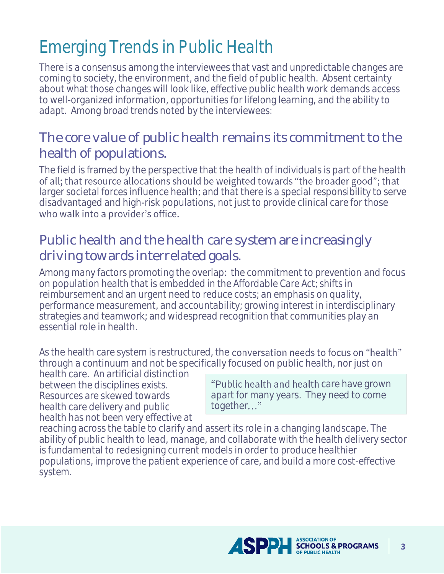# Emerging Trends in Public Health

There is a consensus among the interviewees that vast and unpredictable changes are coming to society, the environment, and the field of public health. Absent certainty about what those changes will look like, effective public health work demands access to well-organized information, opportunities for lifelong learning, and the ability to adapt. Among broad trends noted by the interviewees:

#### The core value of public health remains its commitment to the health of populations.

The field is framed by the perspective that the health of individuals is part of the health of all, that resource allocations should be weighted towards "the broader good"; that larger societal forces influence health; and that there is a special responsibility to serve disadvantaged and high-risk populations, not just to provide clinical care for those who walk into a provider's office.

#### Public health and the health care system are increasingly driving towards interrelated goals.

Among many factors promoting the overlap: the commitment to prevention and focus on population health that is embedded in the Affordable Care Act; shifts in reimbursement and an urgent need to reduce costs; an emphasis on quality, performance measurement, and accountability; growing interest in interdisciplinary strategies and teamwork; and widespread recognition that communities play an essential role in health.

As the health care system is restructured, the **conversation needs to focus on "health"** through a continuum and not be specifically focused on public health, nor just on

health care. An artificial distinction between the disciplines exists. Resources are skewed towards health care delivery and public health has not been very effective at

"Public health and health care have grown apart for many years. They need to come together..."

reaching across the table to clarify and assert its role in a changing landscape. The ability of public health to lead, manage, and collaborate with the health delivery sector is fundamental to redesigning current models in order to produce healthier populations, improve the patient experience of care, and build a more cost-effective system.

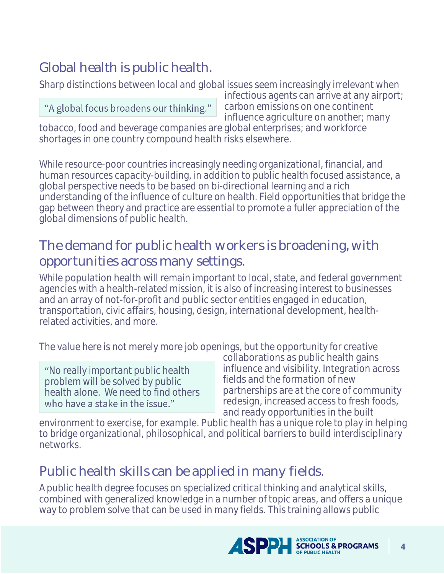### Global health is public health.

Sharp distinctions between local and global issues seem increasingly irrelevant when

#### "A global focus broadens our thinking."

infectious agents can arrive at any airport; carbon emissions on one continent influence agriculture on another; many

tobacco, food and beverage companies are global enterprises; and workforce shortages in one country compound health risks elsewhere.

While resource-poor countries increasingly needing organizational, financial, and human resources capacity-building, in addition to public health focused assistance, a global perspective needs to be based on bi-directional learning and a rich understanding of the influence of culture on health. Field opportunities that bridge the gap between theory and practice are essential to promote a fuller appreciation of the global dimensions of public health.

#### The demand for public health workers is broadening, with opportunities across many settings.

While population health will remain important to local, state, and federal government agencies with a health-related mission, it is also of increasing interest to businesses and an array of not-for-profit and public sector entities engaged in education, transportation, civic affairs, housing, design, international development, healthrelated activities, and more.

The value here is not merely more job openings, but the opportunity for creative

No really important public health problem will be solved by public health alone. We need to find others who have a stake in the issue."

collaborations as public health gains influence and visibility. Integration across fields and the formation of new partnerships are at the core of community redesign, increased access to fresh foods, and ready opportunities in the built

environment to exercise, for example. Public health has a unique role to play in helping to bridge organizational, philosophical, and political barriers to build interdisciplinary networks.

#### Public health skills can be applied in many fields.

A public health degree focuses on specialized critical thinking and analytical skills, combined with generalized knowledge in a number of topic areas, and offers a unique way to problem solve that can be used in many fields. This training allows public

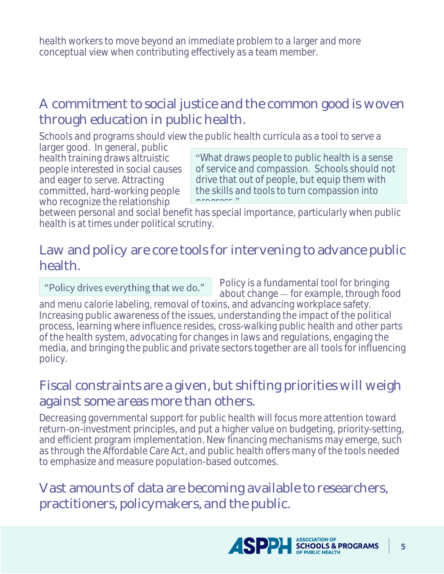health workers to move beyond an immediate problem to a larger and more conceptual view when contributing effectively as a team member.

#### A commitment to social justice and the common good is woven through education in public health.

Schools and programs should view the public health curricula as a tool to serve a

larger good. In general, public health training draws altruistic people interested in social causes and eager to serve. Attracting committed, hard-working people who recognize the relationship

What draws people to public health is a sense of service and compassion. Schools should not drive that out of people, but equip them with the skills and tools to turn compassion into program "

between personal and social benefit has special importance, particularly when public health is at times under political scrutiny.

#### Law and policy are core tools for intervening to advance public health.

"Policy drives everything that we do."

Policy is a fundamental tool for bringing about change – for example, through food and menu calorie labeling, removal of toxins, and advancing workplace safety.

Increasing public awareness of the issues, understanding the impact of the political process, learning where influence resides, cross-walking public health and other parts of the health system, advocating for changes in laws and regulations, engaging the media, and bringing the public and private sectors together are all tools for influencing policy.

#### Fiscal constraints are a given, but shifting priorities will weigh against some areas more than others.

Decreasing governmental support for public health will focus more attention toward return-on-investment principles, and put a higher value on budgeting, priority-setting, and efficient program implementation. New financing mechanisms may emerge, such as through the Affordable Care Act, and public health offers many of the tools needed to emphasize and measure population-based outcomes.

Vast amounts of data are becoming available to researchers, practitioners, policymakers, and the public.

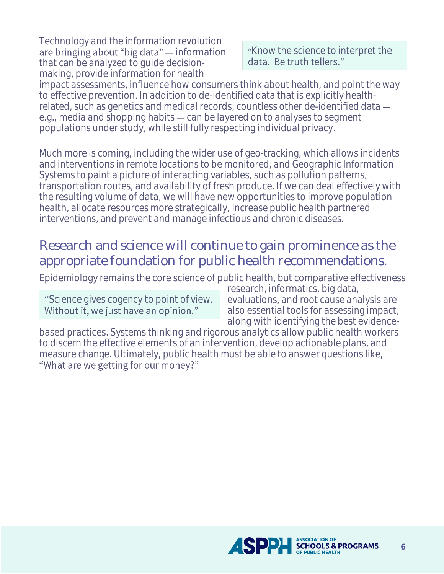Technology and the information revolution are bringing about "big data" - information that can be analyzed to guide decisionmaking, provide information for health

"Know the science to interpret the data. Be truth tellers."

impact assessments, influence how consumers think about health, and point the way to effective prevention. In addition to de-identified data that is explicitly healthrelated, such as genetics and medical records, countless other de-identified data e.g., media and shopping habits — can be layered on to analyses to segment populations under study, while still fully respecting individual privacy.

Much more is coming, including the wider use of geo-tracking, which allows incidents and interventions in remote locations to be monitored, and Geographic Information Systems to paint a picture of interacting variables, such as pollution patterns, transportation routes, and availability of fresh produce. If we can deal effectively with the resulting volume of data, we will have new opportunities to improve population health, allocate resources more strategically, increase public health partnered interventions, and prevent and manage infectious and chronic diseases.

#### Research and science will continue to gain prominence as the appropriate foundation for public health recommendations.

Epidemiology remains the core science of public health, but comparative effectiveness

Science gives cogency to point of view. Without it, we just have an opinion."

research, informatics, big data, evaluations, and root cause analysis are also essential tools for assessing impact, along with identifying the best evidence-

based practices. Systems thinking and rigorous analytics allow public health workers to discern the effective elements of an intervention, develop actionable plans, and measure change. Ultimately, public health must be able to answer questions like, "What are we getting for our money?"

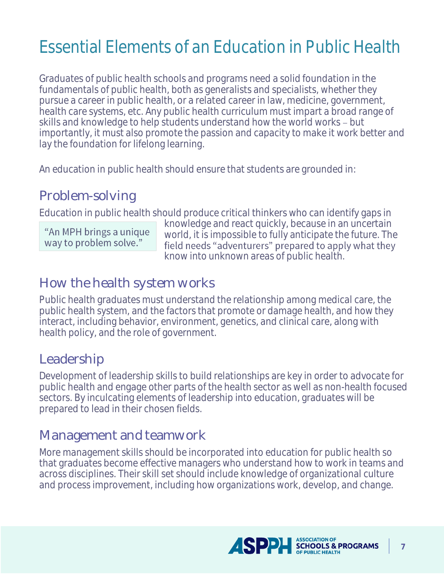# Essential Elements of an Education in Public Health

Graduates of public health schools and programs need a solid foundation in the fundamentals of public health, both as generalists and specialists, whether they pursue a career in public health, or a related career in law, medicine, government, health care systems, etc. Any public health curriculum must impart a broad range of skills and knowledge to help students understand how the world works - but importantly, it must also promote the passion and capacity to make it work better and lay the foundation for lifelong learning.

An education in public health should ensure that students are grounded in:

#### Problem-solving

Education in public health should produce critical thinkers who can identify gaps in

"An MPH brings a unique way to problem solve."

knowledge and react quickly, because in an uncertain world, it is impossible to fully anticipate the future. The field needs "adventurers" prepared to apply what they know into unknown areas of public health.

#### How the health system works

Public health graduates must understand the relationship among medical care, the public health system, and the factors that promote or damage health, and how they interact, including behavior, environment, genetics, and clinical care, along with health policy, and the role of government.

#### Leadership

Development of leadership skills to build relationships are key in order to advocate for public health and engage other parts of the health sector as well as non-health focused sectors. By inculcating elements of leadership into education, graduates will be prepared to lead in their chosen fields.

#### Management and teamwork

More management skills should be incorporated into education for public health so that graduates become effective managers who understand how to work in teams and across disciplines. Their skill set should include knowledge of organizational culture and process improvement, including how organizations work, develop, and change.

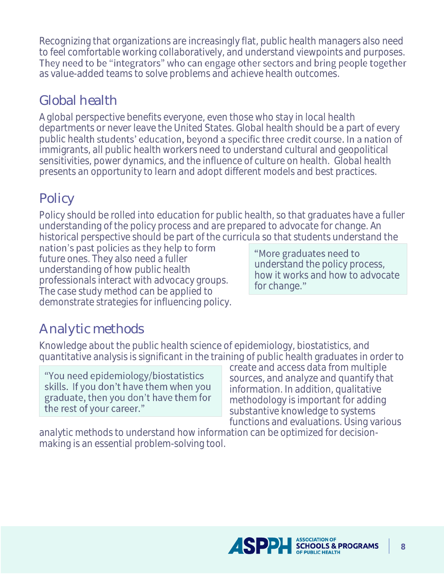Recognizing that organizations are increasingly flat, public health managers also need to feel comfortable working collaboratively, and understand viewpoints and purposes. They need to be "integrators" who can engage other sectors and bring people together as value-added teams to solve problems and achieve health outcomes.

### Global health

A global perspective benefits everyone, even those who stay in local health departments or never leave the United States. Global health should be a part of every public health students' education, beyond a specific three credit course. In a nation of immigrants, all public health workers need to understand cultural and geopolitical sensitivities, power dynamics, and the influence of culture on health. Global health presents an opportunity to learn and adopt different models and best practices.

### Policy

Policy should be rolled into education for public health, so that graduates have a fuller understanding of the policy process and are prepared to advocate for change. An historical perspective should be part of the curricula so that students understand the

nation's past policies as they help to form future ones. They also need a fuller understanding of how public health professionals interact with advocacy groups. The case study method can be applied to demonstrate strategies for influencing policy.

"More graduates need to understand the policy process, how it works and how to advocate for change."

### Analytic methods

Knowledge about the public health science of epidemiology, biostatistics, and quantitative analysis is significant in the training of public health graduates in order to

"You need epidemiology/biostatistics skills. If you don't have them when you graduate, then you don't have them for the rest of your career."

create and access data from multiple sources, and analyze and quantify that information. In addition, qualitative methodology is important for adding substantive knowledge to systems functions and evaluations. Using various

analytic methods to understand how information can be optimized for decisionmaking is an essential problem-solving tool.

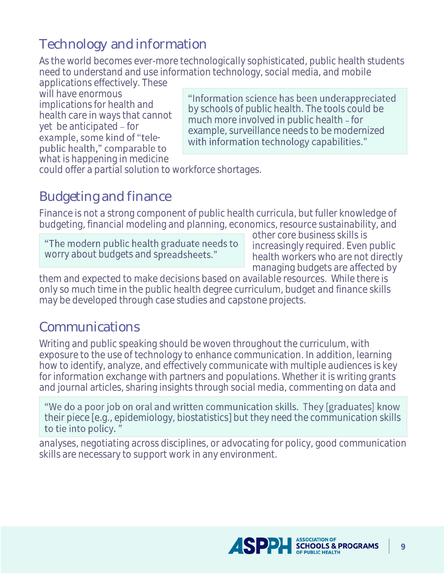### Technology and information

As the world becomes ever-more technologically sophisticated, public health students need to understand and use information technology, social media, and mobile

applications effectively. These will have enormous implications for health and health care in ways that cannot yet be anticipated – for example, some kind of "telepublic health," comparable to what is happening in medicine

"Information science has been underappreciated by schools of public health. The tools could be much more involved in public health - for example, surveillance needs to be modernized with information technology capabilities."

could offer a partial solution to workforce shortages.

#### Budgeting and finance

Finance is not a strong component of public health curricula, but fuller knowledge of budgeting, financial modeling and planning, economics, resource sustainability, and

"The modern public health graduate needs to worry about budgets and spreadsheets."

other core business skills is increasingly required. Even public health workers who are not directly managing budgets are affected by

them and expected to make decisions based on available resources. While there is only so much time in the public health degree curriculum, budget and finance skills may be developed through case studies and capstone projects.

#### Communications

Writing and public speaking should be woven throughout the curriculum, with exposure to the use of technology to enhance communication. In addition, learning how to identify, analyze, and effectively communicate with multiple audiences is key for information exchange with partners and populations. Whether it is writing grants and journal articles, sharing insights through social media, commenting on data and

"We do a poor job on oral and written communication skills. They [graduates] know their piece [e.g., epidemiology, biostatistics] but they need the communication skills to tie into policy."

analyses, negotiating across disciplines, or advocating for policy, good communication skills are necessary to support work in any environment.

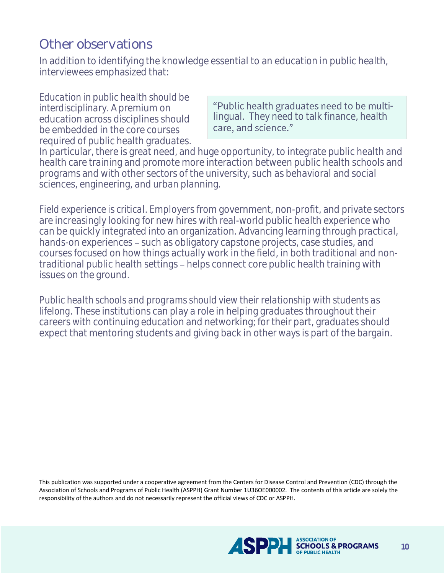#### Other observations

In addition to identifying the knowledge essential to an education in public health, interviewees emphasized that:

*Education in public health should be interdisciplinary.* A premium on education across disciplines should be embedded in the core courses required of public health graduates.

"Public health graduates need to be multilingual. They need to talk finance, health care, and science."

In particular, there is great need, and huge opportunity, to integrate public health and health care training and promote more interaction between public health schools and programs and with other sectors of the university, such as behavioral and social sciences, engineering, and urban planning.

*Field experience is critical.* Employers from government, non-profit, and private sectors are increasingly looking for new hires with real-world public health experience who can be quickly integrated into an organization. Advancing learning through practical, hands-on experiences – such as obligatory capstone projects, case studies, and courses focused on how things actually work in the field, in both traditional and nontraditional public health settings – helps connect core public health training with issues on the ground.

*Public health schools and programs should view their relationship with students as lifelong.* These institutions can play a role in helping graduates throughout their careers with continuing education and networking; for their part, graduates should expect that mentoring students and giving back in other ways is part of the bargain.

This publication was supported under a cooperative agreement from the Centers for Disease Control and Prevention (CDC) through the Association of Schools and Programs of Public Health (ASPPH) Grant Number 1U36OE000002. The contents of this article are solely the responsibility of the authors and do not necessarily represent the official views of CDC or ASPPH.

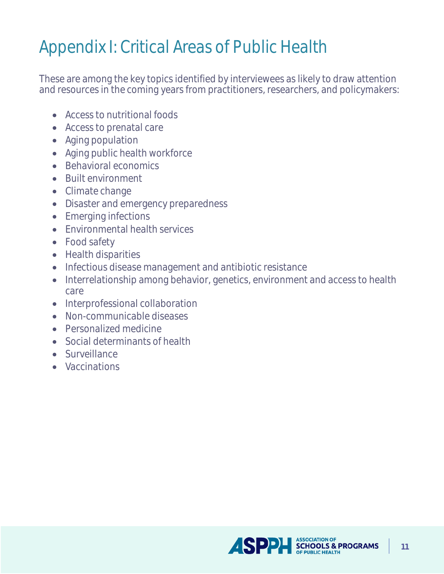# Appendix I: Critical Areas of Public Health

These are among the key topics identified by interviewees as likely to draw attention and resources in the coming years from practitioners, researchers, and policymakers:

- Access to nutritional foods
- Access to prenatal care
- Aging population
- Aging public health workforce
- Behavioral economics
- Built environment
- Climate change
- Disaster and emergency preparedness
- Emerging infections
- Fnyironmental health services
- Food safety
- Health disparities
- Infectious disease management and antibiotic resistance
- Interrelationship among behavior, genetics, environment and access to health care
- Interprofessional collaboration
- Non-communicable diseases
- Personalized medicine
- Social determinants of health
- Surveillance
- Vaccinations

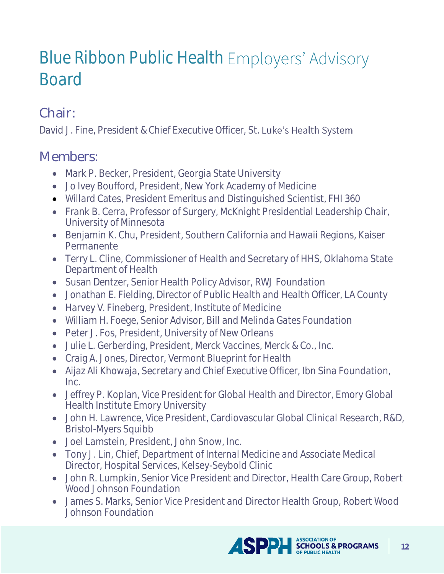# Blue Ribbon Public Health Employers' Advisory Board

### Chair:

David J. Fine, President & Chief Executive Officer, St. Luke's Health System

#### Members:

- Mark P. Becker, President, Georgia State University
- Jo Ivey Boufford, President, New York Academy of Medicine
- Willard Cates, President Emeritus and Distinguished Scientist, FHI 360
- Frank B. Cerra, Professor of Surgery, McKnight Presidential Leadership Chair, University of Minnesota
- Benjamin K. Chu, President, Southern California and Hawaii Regions, Kaiser Permanente
- Terry L. Cline, Commissioner of Health and Secretary of HHS, Oklahoma State Department of Health
- Susan Dentzer, Senior Health Policy Advisor, RWJ Foundation
- Jonathan E. Fielding, Director of Public Health and Health Officer, LA County
- Harvey V. Fineberg, President, Institute of Medicine
- William H. Foege, Senior Advisor, Bill and Melinda Gates Foundation
- Peter J. Fos, President, University of New Orleans
- Julie L. Gerberding, President, Merck Vaccines, Merck & Co., Inc.
- Craig A. Jones, Director, Vermont Blueprint for Health
- Aijaz Ali Khowaja, Secretary and Chief Executive Officer, Ibn Sina Foundation, Inc.
- Jeffrey P. Koplan, Vice President for Global Health and Director, Emory Global Health Institute Emory University
- John H. Lawrence, Vice President, Cardiovascular Global Clinical Research, R&D, Bristol-Myers Squibb
- Joel Lamstein, President, John Snow, Inc.
- Tony J. Lin, Chief, Department of Internal Medicine and Associate Medical Director, Hospital Services, Kelsey-Seybold Clinic
- John R. Lumpkin, Senior Vice President and Director, Health Care Group, Robert Wood Johnson Foundation
- James S. Marks, Senior Vice President and Director Health Group, Robert Wood Johnson Foundation